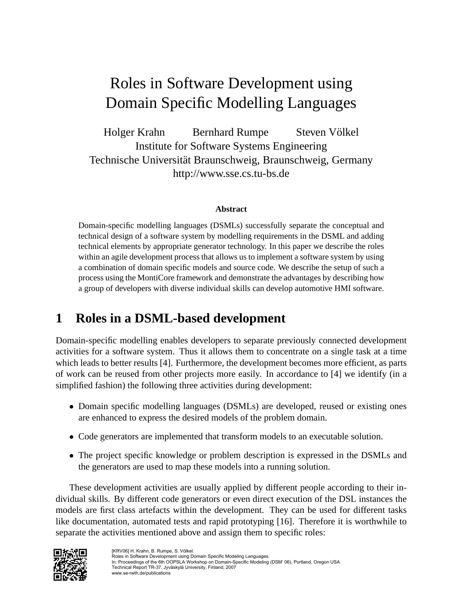# Roles in Software Development using Domain Specific Modelling Languages

Holger Krahn Bernhard Rumpe Steven Völkel Institute for Software Systems Engineering Technische Universität Braunschweig, Braunschweig, Germany http://www.sse.cs.tu-bs.de

#### **Abstract**

Domain-specific modelling languages (DSMLs) successfully separate the conceptual and technical design of a software system by modelling requirements in the DSML and adding technical elements by appropriate generator technology. In this paper we describe the roles within an agile development process that allows us to implement a software system by using a combination of domain specific models and source code. We describe the setup of such a process using the MontiCore framework and demonstrate the advantages by describing how a group of developers with diverse individual skills can develop automotive HMI software.

# **1 Roles in a DSML-based development**

Domain-specific modelling enables developers to separate previously connected development activities for a software system. Thus it allows them to concentrate on a single task at a time which leads to better results [4]. Furthermore, the development becomes more efficient, as parts of work can be reused from other projects more easily. In accordance to [4] we identify (in a simplified fashion) the following three activities during development:

- Domain specific modelling languages (DSMLs) are developed, reused or existing ones are enhanced to express the desired models of the problem domain.
- Code generators are implemented that transform models to an executable solution.
- The project specific knowledge or problem description is expressed in the DSMLs and the generators are used to map these models into a running solution.

These development activities are usually applied by different people according to their individual skills. By different code generators or even direct execution of the DSL instances the models are first class artefacts within the development. They can be used for different tasks like documentation, automated tests and rapid prototyping [16]. Therefore it is worthwhile to separate the activities mentioned above and assign them to specific roles:

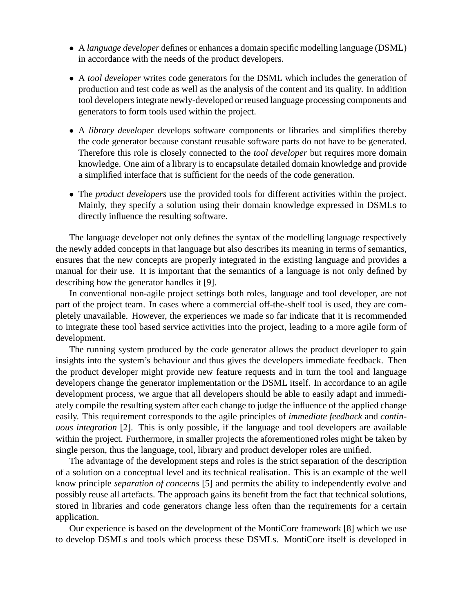- A *language developer* defines or enhances a domain specific modelling language (DSML) in accordance with the needs of the product developers.
- A *tool developer* writes code generators for the DSML which includes the generation of production and test code as well as the analysis of the content and its quality. In addition tool developers integrate newly-developed or reused language processing components and generators to form tools used within the project.
- A *library developer* develops software components or libraries and simplifies thereby the code generator because constant reusable software parts do not have to be generated. Therefore this role is closely connected to the *tool developer* but requires more domain knowledge. One aim of a library is to encapsulate detailed domain knowledge and provide a simplified interface that is sufficient for the needs of the code generation.
- The *product developers* use the provided tools for different activities within the project. Mainly, they specify a solution using their domain knowledge expressed in DSMLs to directly influence the resulting software.

The language developer not only defines the syntax of the modelling language respectively the newly added concepts in that language but also describes its meaning in terms of semantics, ensures that the new concepts are properly integrated in the existing language and provides a manual for their use. It is important that the semantics of a language is not only defined by describing how the generator handles it [9].

In conventional non-agile project settings both roles, language and tool developer, are not part of the project team. In cases where a commercial off-the-shelf tool is used, they are completely unavailable. However, the experiences we made so far indicate that it is recommended to integrate these tool based service activities into the project, leading to a more agile form of development.

The running system produced by the code generator allows the product developer to gain insights into the system's behaviour and thus gives the developers immediate feedback. Then the product developer might provide new feature requests and in turn the tool and language developers change the generator implementation or the DSML itself. In accordance to an agile development process, we argue that all developers should be able to easily adapt and immediately compile the resulting system after each change to judge the influence of the applied change easily. This requirement corresponds to the agile principles of *immediate feedback* and *continuous integration* [2]. This is only possible, if the language and tool developers are available within the project. Furthermore, in smaller projects the aforementioned roles might be taken by single person, thus the language, tool, library and product developer roles are unified.

The advantage of the development steps and roles is the strict separation of the description of a solution on a conceptual level and its technical realisation. This is an example of the well know principle *separation of concerns* [5] and permits the ability to independently evolve and possibly reuse all artefacts. The approach gains its benefit from the fact that technical solutions, stored in libraries and code generators change less often than the requirements for a certain application.

Our experience is based on the development of the MontiCore framework [8] which we use to develop DSMLs and tools which process these DSMLs. MontiCore itself is developed in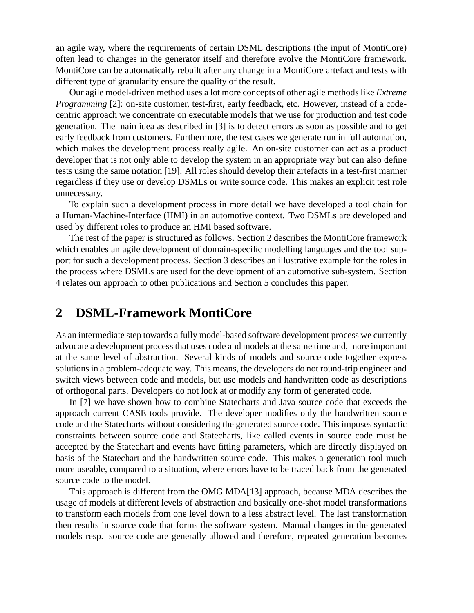an agile way, where the requirements of certain DSML descriptions (the input of MontiCore) often lead to changes in the generator itself and therefore evolve the MontiCore framework. MontiCore can be automatically rebuilt after any change in a MontiCore artefact and tests with different type of granularity ensure the quality of the result.

Our agile model-driven method uses a lot more concepts of other agile methods like *Extreme Programming* [2]: on-site customer, test-first, early feedback, etc. However, instead of a codecentric approach we concentrate on executable models that we use for production and test code generation. The main idea as described in [3] is to detect errors as soon as possible and to get early feedback from customers. Furthermore, the test cases we generate run in full automation, which makes the development process really agile. An on-site customer can act as a product developer that is not only able to develop the system in an appropriate way but can also define tests using the same notation [19]. All roles should develop their artefacts in a test-first manner regardless if they use or develop DSMLs or write source code. This makes an explicit test role unnecessary.

To explain such a development process in more detail we have developed a tool chain for a Human-Machine-Interface (HMI) in an automotive context. Two DSMLs are developed and used by different roles to produce an HMI based software.

The rest of the paper is structured as follows. Section 2 describes the MontiCore framework which enables an agile development of domain-specific modelling languages and the tool support for such a development process. Section 3 describes an illustrative example for the roles in the process where DSMLs are used for the development of an automotive sub-system. Section 4 relates our approach to other publications and Section 5 concludes this paper.

## **2 DSML-Framework MontiCore**

As an intermediate step towards a fully model-based software development process we currently advocate a development process that uses code and models at the same time and, more important at the same level of abstraction. Several kinds of models and source code together express solutions in a problem-adequate way. This means, the developers do not round-trip engineer and switch views between code and models, but use models and handwritten code as descriptions of orthogonal parts. Developers do not look at or modify any form of generated code.

In [7] we have shown how to combine Statecharts and Java source code that exceeds the approach current CASE tools provide. The developer modifies only the handwritten source code and the Statecharts without considering the generated source code. This imposes syntactic constraints between source code and Statecharts, like called events in source code must be accepted by the Statechart and events have fitting parameters, which are directly displayed on basis of the Statechart and the handwritten source code. This makes a generation tool much more useable, compared to a situation, where errors have to be traced back from the generated source code to the model.

This approach is different from the OMG MDA[13] approach, because MDA describes the usage of models at different levels of abstraction and basically one-shot model transformations to transform each models from one level down to a less abstract level. The last transformation then results in source code that forms the software system. Manual changes in the generated models resp. source code are generally allowed and therefore, repeated generation becomes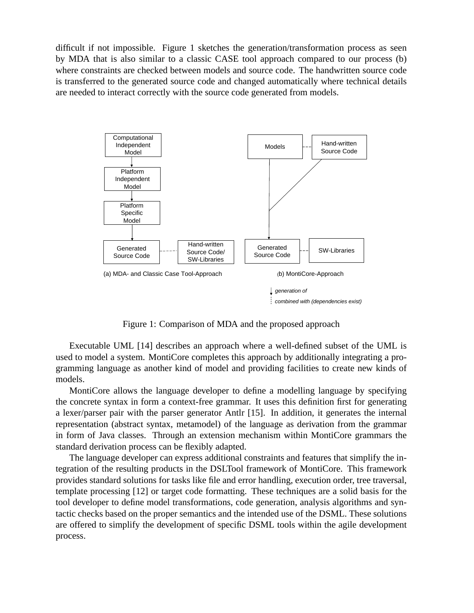difficult if not impossible. Figure 1 sketches the generation/transformation process as seen by MDA that is also similar to a classic CASE tool approach compared to our process (b) where constraints are checked between models and source code. The handwritten source code is transferred to the generated source code and changed automatically where technical details are needed to interact correctly with the source code generated from models.



Figure 1: Comparison of MDA and the proposed approach

Executable UML [14] describes an approach where a well-defined subset of the UML is used to model a system. MontiCore completes this approach by additionally integrating a programming language as another kind of model and providing facilities to create new kinds of models.

MontiCore allows the language developer to define a modelling language by specifying the concrete syntax in form a context-free grammar. It uses this definition first for generating a lexer/parser pair with the parser generator Antlr [15]. In addition, it generates the internal representation (abstract syntax, metamodel) of the language as derivation from the grammar in form of Java classes. Through an extension mechanism within MontiCore grammars the standard derivation process can be flexibly adapted.

The language developer can express additional constraints and features that simplify the integration of the resulting products in the DSLTool framework of MontiCore. This framework provides standard solutions for tasks like file and error handling, execution order, tree traversal, template processing [12] or target code formatting. These techniques are a solid basis for the tool developer to define model transformations, code generation, analysis algorithms and syntactic checks based on the proper semantics and the intended use of the DSML. These solutions are offered to simplify the development of specific DSML tools within the agile development process.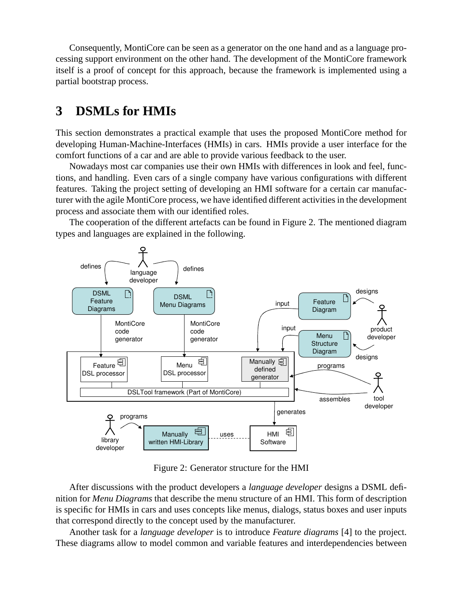Consequently, MontiCore can be seen as a generator on the one hand and as a language processing support environment on the other hand. The development of the MontiCore framework itself is a proof of concept for this approach, because the framework is implemented using a partial bootstrap process.

### **3 DSMLs for HMIs**

This section demonstrates a practical example that uses the proposed MontiCore method for developing Human-Machine-Interfaces (HMIs) in cars. HMIs provide a user interface for the comfort functions of a car and are able to provide various feedback to the user.

Nowadays most car companies use their own HMIs with differences in look and feel, functions, and handling. Even cars of a single company have various configurations with different features. Taking the project setting of developing an HMI software for a certain car manufacturer with the agile MontiCore process, we have identified different activities in the development process and associate them with our identified roles.

The cooperation of the different artefacts can be found in Figure 2. The mentioned diagram types and languages are explained in the following.



Figure 2: Generator structure for the HMI

After discussions with the product developers a *language developer* designs a DSML definition for *Menu Diagrams* that describe the menu structure of an HMI. This form of description is specific for HMIs in cars and uses concepts like menus, dialogs, status boxes and user inputs that correspond directly to the concept used by the manufacturer.

Another task for a *language developer* is to introduce *Feature diagrams* [4] to the project. These diagrams allow to model common and variable features and interdependencies between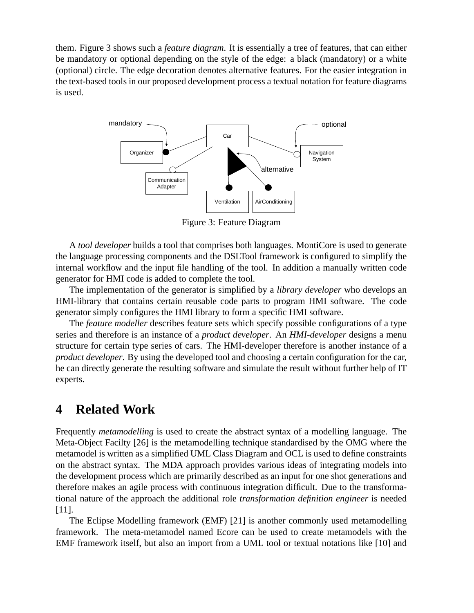them. Figure 3 shows such a *feature diagram*. It is essentially a tree of features, that can either be mandatory or optional depending on the style of the edge: a black (mandatory) or a white (optional) circle. The edge decoration denotes alternative features. For the easier integration in the text-based tools in our proposed development process a textual notation for feature diagrams is used.



Figure 3: Feature Diagram

A *tool developer* builds a tool that comprises both languages. MontiCore is used to generate the language processing components and the DSLTool framework is configured to simplify the internal workflow and the input file handling of the tool. In addition a manually written code generator for HMI code is added to complete the tool.

The implementation of the generator is simplified by a *library developer* who develops an HMI-library that contains certain reusable code parts to program HMI software. The code generator simply configures the HMI library to form a specific HMI software.

The *feature modeller* describes feature sets which specify possible configurations of a type series and therefore is an instance of a *product developer*. An *HMI-developer* designs a menu structure for certain type series of cars. The HMI-developer therefore is another instance of a *product developer*. By using the developed tool and choosing a certain configuration for the car, he can directly generate the resulting software and simulate the result without further help of IT experts.

## **4 Related Work**

Frequently *metamodelling* is used to create the abstract syntax of a modelling language. The Meta-Object Facilty [26] is the metamodelling technique standardised by the OMG where the metamodel is written as a simplified UML Class Diagram and OCL is used to define constraints on the abstract syntax. The MDA approach provides various ideas of integrating models into the development process which are primarily described as an input for one shot generations and therefore makes an agile process with continuous integration difficult. Due to the transformational nature of the approach the additional role *transformation definition engineer* is needed [11].

The Eclipse Modelling framework (EMF) [21] is another commonly used metamodelling framework. The meta-metamodel named Ecore can be used to create metamodels with the EMF framework itself, but also an import from a UML tool or textual notations like [10] and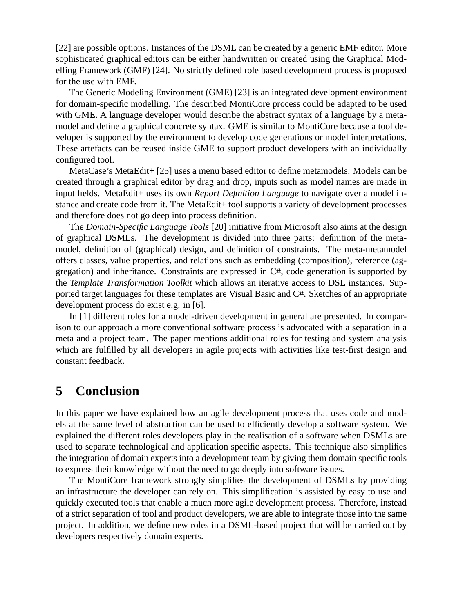[22] are possible options. Instances of the DSML can be created by a generic EMF editor. More sophisticated graphical editors can be either handwritten or created using the Graphical Modelling Framework (GMF) [24]. No strictly defined role based development process is proposed for the use with EMF.

The Generic Modeling Environment (GME) [23] is an integrated development environment for domain-specific modelling. The described MontiCore process could be adapted to be used with GME. A language developer would describe the abstract syntax of a language by a metamodel and define a graphical concrete syntax. GME is similar to MontiCore because a tool developer is supported by the environment to develop code generations or model interpretations. These artefacts can be reused inside GME to support product developers with an individually configured tool.

MetaCase's MetaEdit+ [25] uses a menu based editor to define metamodels. Models can be created through a graphical editor by drag and drop, inputs such as model names are made in input fields. MetaEdit+ uses its own *Report Definition Language* to navigate over a model instance and create code from it. The MetaEdit+ tool supports a variety of development processes and therefore does not go deep into process definition.

The *Domain-Specific Language Tools* [20] initiative from Microsoft also aims at the design of graphical DSMLs. The development is divided into three parts: definition of the metamodel, definition of (graphical) design, and definition of constraints. The meta-metamodel offers classes, value properties, and relations such as embedding (composition), reference (aggregation) and inheritance. Constraints are expressed in C#, code generation is supported by the *Template Transformation Toolkit* which allows an iterative access to DSL instances. Supported target languages for these templates are Visual Basic and C#. Sketches of an appropriate development process do exist e.g. in [6].

In [1] different roles for a model-driven development in general are presented. In comparison to our approach a more conventional software process is advocated with a separation in a meta and a project team. The paper mentions additional roles for testing and system analysis which are fulfilled by all developers in agile projects with activities like test-first design and constant feedback.

#### **5 Conclusion**

In this paper we have explained how an agile development process that uses code and models at the same level of abstraction can be used to efficiently develop a software system. We explained the different roles developers play in the realisation of a software when DSMLs are used to separate technological and application specific aspects. This technique also simplifies the integration of domain experts into a development team by giving them domain specific tools to express their knowledge without the need to go deeply into software issues.

The MontiCore framework strongly simplifies the development of DSMLs by providing an infrastructure the developer can rely on. This simplification is assisted by easy to use and quickly executed tools that enable a much more agile development process. Therefore, instead of a strict separation of tool and product developers, we are able to integrate those into the same project. In addition, we define new roles in a DSML-based project that will be carried out by developers respectively domain experts.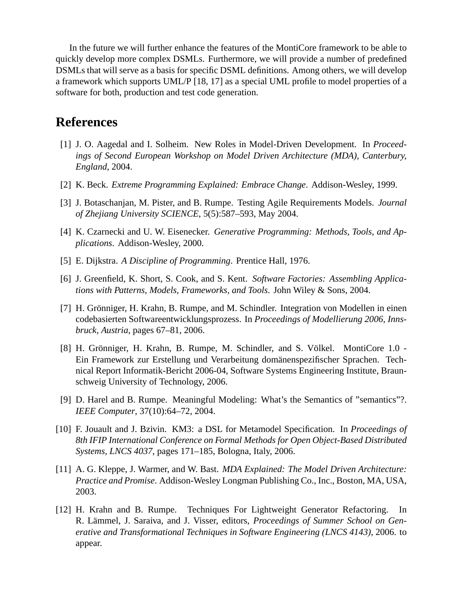In the future we will further enhance the features of the MontiCore framework to be able to quickly develop more complex DSMLs. Furthermore, we will provide a number of predefined DSMLs that will serve as a basis for specific DSML definitions. Among others, we will develop a framework which supports UML/P [18, 17] as a special UML profile to model properties of a software for both, production and test code generation.

#### **References**

- [1] J. O. Aagedal and I. Solheim. New Roles in Model-Driven Development. In *Proceedings of Second European Workshop on Model Driven Architecture (MDA), Canterbury, England*, 2004.
- [2] K. Beck. *Extreme Programming Explained: Embrace Change*. Addison-Wesley, 1999.
- [3] J. Botaschanjan, M. Pister, and B. Rumpe. Testing Agile Requirements Models. *Journal of Zhejiang University SCIENCE*, 5(5):587–593, May 2004.
- [4] K. Czarnecki and U. W. Eisenecker. *Generative Programming: Methods, Tools, and Applications*. Addison-Wesley, 2000.
- [5] E. Dijkstra. *A Discipline of Programming*. Prentice Hall, 1976.
- [6] J. Greenfield, K. Short, S. Cook, and S. Kent. *Software Factories: Assembling Applications with Patterns, Models, Frameworks, and Tools*. John Wiley & Sons, 2004.
- [7] H. Grönniger, H. Krahn, B. Rumpe, and M. Schindler. Integration von Modellen in einen codebasierten Softwareentwicklungsprozess. In *Proceedings of Modellierung 2006, Innsbruck, Austria*, pages 67–81, 2006.
- [8] H. Grönniger, H. Krahn, B. Rumpe, M. Schindler, and S. Völkel. MontiCore 1.0 -Ein Framework zur Erstellung und Verarbeitung domanenspezifischer Sprachen. Tech- ¨ nical Report Informatik-Bericht 2006-04, Software Systems Engineering Institute, Braunschweig University of Technology, 2006.
- [9] D. Harel and B. Rumpe. Meaningful Modeling: What's the Semantics of "semantics"?. *IEEE Computer*, 37(10):64–72, 2004.
- [10] F. Jouault and J. Bzivin. KM3: a DSL for Metamodel Specification. In *Proceedings of 8th IFIP International Conference on Formal Methods for Open Object-Based Distributed Systems, LNCS 4037*, pages 171–185, Bologna, Italy, 2006.
- [11] A. G. Kleppe, J. Warmer, and W. Bast. *MDA Explained: The Model Driven Architecture: Practice and Promise*. Addison-Wesley Longman Publishing Co., Inc., Boston, MA, USA, 2003.
- [12] H. Krahn and B. Rumpe. Techniques For Lightweight Generator Refactoring. In R. Lämmel, J. Saraiva, and J. Visser, editors, *Proceedings of Summer School on Generative and Transformational Techniques in Software Engineering (LNCS 4143)*, 2006. to appear.